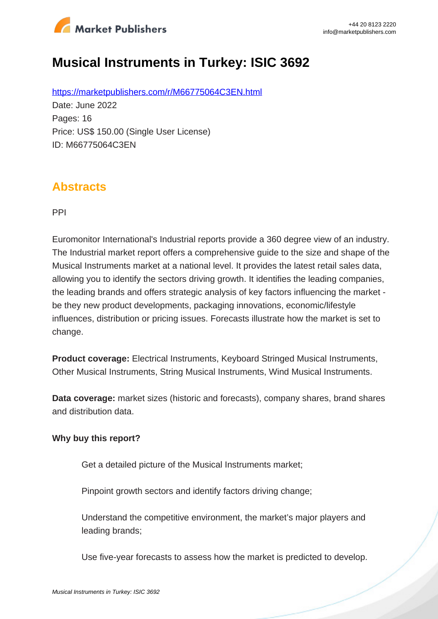

# **Musical Instruments in Turkey: ISIC 3692**

https://marketpublishers.com/r/M66775064C3EN.html Date: June 2022 Pages: 16 Price: US\$ 150.00 (Single User License) ID: M66775064C3EN

### **Abstracts**

PPI

Euromonitor International's Industrial reports provide a 360 degree view of an industry. The Industrial market report offers a comprehensive guide to the size and shape of the Musical Instruments market at a national level. It provides the latest retail sales data, allowing you to identify the sectors driving growth. It identifies the leading companies, the leading brands and offers strategic analysis of key factors influencing the market be they new product developments, packaging innovations, economic/lifestyle influences, distribution or pricing issues. Forecasts illustrate how the market is set to change.

**Product coverage:** Electrical Instruments, Keyboard Stringed Musical Instruments, Other Musical Instruments, String Musical Instruments, Wind Musical Instruments.

**Data coverage:** market sizes (historic and forecasts), company shares, brand shares and distribution data.

#### **Why buy this report?**

Get a detailed picture of the Musical Instruments market;

Pinpoint growth sectors and identify factors driving change;

Understand the competitive environment, the market's major players and leading brands;

Use five-year forecasts to assess how the market is predicted to develop.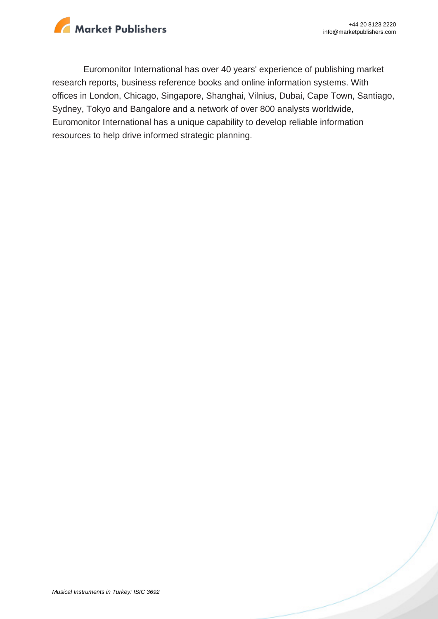

Euromonitor International has over 40 years' experience of publishing market research reports, business reference books and online information systems. With offices in London, Chicago, Singapore, Shanghai, Vilnius, Dubai, Cape Town, Santiago, Sydney, Tokyo and Bangalore and a network of over 800 analysts worldwide, Euromonitor International has a unique capability to develop reliable information resources to help drive informed strategic planning.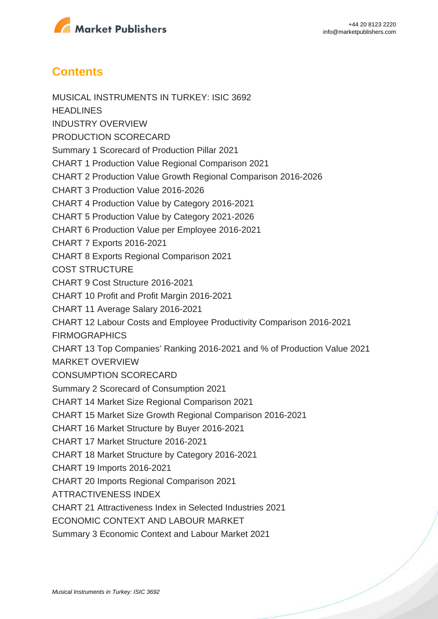

## **Contents**

MUSICAL INSTRUMENTS IN TURKEY: ISIC 3692 **HEADLINES** INDUSTRY OVERVIEW PRODUCTION SCORECARD Summary 1 Scorecard of Production Pillar 2021 CHART 1 Production Value Regional Comparison 2021 CHART 2 Production Value Growth Regional Comparison 2016-2026 CHART 3 Production Value 2016-2026 CHART 4 Production Value by Category 2016-2021 CHART 5 Production Value by Category 2021-2026 CHART 6 Production Value per Employee 2016-2021 CHART 7 Exports 2016-2021 CHART 8 Exports Regional Comparison 2021 COST STRUCTURE CHART 9 Cost Structure 2016-2021 CHART 10 Profit and Profit Margin 2016-2021 CHART 11 Average Salary 2016-2021 CHART 12 Labour Costs and Employee Productivity Comparison 2016-2021 **FIRMOGRAPHICS** CHART 13 Top Companies' Ranking 2016-2021 and % of Production Value 2021 MARKET OVERVIEW CONSUMPTION SCORECARD Summary 2 Scorecard of Consumption 2021 CHART 14 Market Size Regional Comparison 2021 CHART 15 Market Size Growth Regional Comparison 2016-2021 CHART 16 Market Structure by Buyer 2016-2021 CHART 17 Market Structure 2016-2021 CHART 18 Market Structure by Category 2016-2021 CHART 19 Imports 2016-2021 CHART 20 Imports Regional Comparison 2021 ATTRACTIVENESS INDEX CHART 21 Attractiveness Index in Selected Industries 2021 ECONOMIC CONTEXT AND LABOUR MARKET Summary 3 Economic Context and Labour Market 2021